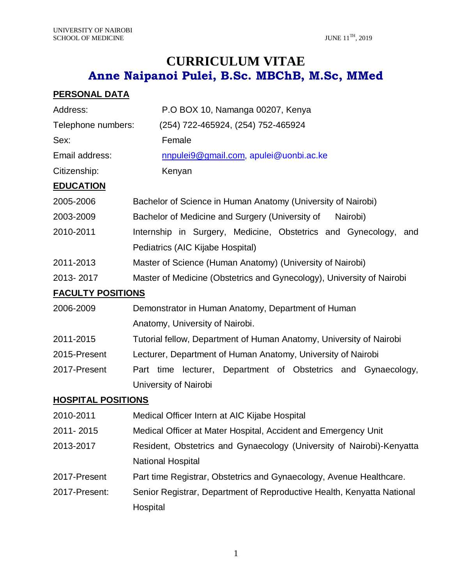# **CURRICULUM VITAE Anne Naipanoi Pulei, B.Sc. MBChB, M.Sc, MMed**

## **PERSONAL DATA**

| Address:                  | P.O BOX 10, Namanga 00207, Kenya                                       |  |
|---------------------------|------------------------------------------------------------------------|--|
| Telephone numbers:        | (254) 722-465924, (254) 752-465924                                     |  |
| Sex:                      | Female                                                                 |  |
| Email address:            | nnpulei9@gmail.com, apulei@uonbi.ac.ke                                 |  |
| Citizenship:              | Kenyan                                                                 |  |
| <b>EDUCATION</b>          |                                                                        |  |
| 2005-2006                 | Bachelor of Science in Human Anatomy (University of Nairobi)           |  |
| 2003-2009                 | Bachelor of Medicine and Surgery (University of<br>Nairobi)            |  |
| 2010-2011                 | Internship in Surgery, Medicine, Obstetrics and Gynecology,<br>and     |  |
|                           | Pediatrics (AIC Kijabe Hospital)                                       |  |
| 2011-2013                 | Master of Science (Human Anatomy) (University of Nairobi)              |  |
| 2013-2017                 | Master of Medicine (Obstetrics and Gynecology), University of Nairobi  |  |
| <b>FACULTY POSITIONS</b>  |                                                                        |  |
| 2006-2009                 | Demonstrator in Human Anatomy, Department of Human                     |  |
|                           | Anatomy, University of Nairobi.                                        |  |
| 2011-2015                 | Tutorial fellow, Department of Human Anatomy, University of Nairobi    |  |
| 2015-Present              | Lecturer, Department of Human Anatomy, University of Nairobi           |  |
| 2017-Present              | Part time lecturer, Department of Obstetrics and Gynaecology,          |  |
|                           | University of Nairobi                                                  |  |
| <b>HOSPITAL POSITIONS</b> |                                                                        |  |
| 2010-2011                 | Medical Officer Intern at AIC Kijabe Hospital                          |  |
| 2011-2015                 | Medical Officer at Mater Hospital, Accident and Emergency Unit         |  |
| 2013-2017                 | Resident, Obstetrics and Gynaecology (University of Nairobi)-Kenyatta  |  |
|                           | <b>National Hospital</b>                                               |  |
| 2017-Present              | Part time Registrar, Obstetrics and Gynaecology, Avenue Healthcare.    |  |
| 2017-Present:             | Senior Registrar, Department of Reproductive Health, Kenyatta National |  |
|                           | Hospital                                                               |  |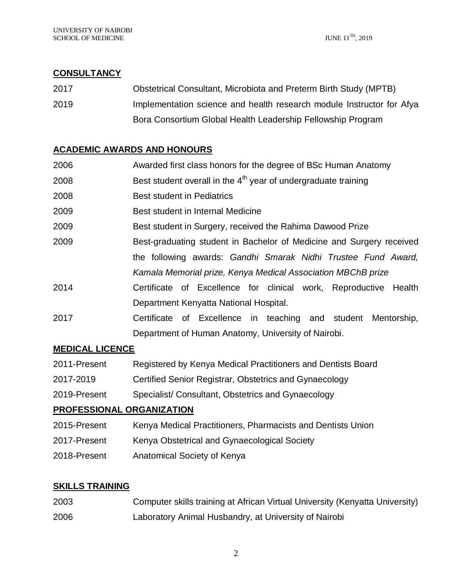### **CONSULTANCY**

2017 Obstetrical Consultant, Microbiota and Preterm Birth Study (MPTB) 2019 Implementation science and health research module Instructor for Afya Bora Consortium Global Health Leadership Fellowship Program

## **ACADEMIC AWARDS AND HONOURS**

| 2006 | Awarded first class honors for the degree of BSc Human Anatomy       |
|------|----------------------------------------------------------------------|
| 2008 | Best student overall in the $4th$ year of undergraduate training     |
| 2008 | <b>Best student in Pediatrics</b>                                    |
| 2009 | Best student in Internal Medicine                                    |
| 2009 | Best student in Surgery, received the Rahima Dawood Prize            |
| 2009 | Best-graduating student in Bachelor of Medicine and Surgery received |
|      | the following awards: Gandhi Smarak Nidhi Trustee Fund Award,        |
|      | Kamala Memorial prize, Kenya Medical Association MBChB prize         |
| 2014 | Certificate of Excellence for clinical work, Reproductive Health     |
|      | Department Kenyatta National Hospital.                               |
| 2017 | Certificate of Excellence in teaching and student Mentorship,        |
|      | Department of Human Anatomy, University of Nairobi.                  |
|      |                                                                      |

### **MEDICAL LICENCE**

- 2011-Present Registered by Kenya Medical Practitioners and Dentists Board
- 2017-2019 Certified Senior Registrar, Obstetrics and Gynaecology
- 2019-Present Specialist/ Consultant, Obstetrics and Gynaecology

### **PROFESSIONAL ORGANIZATION**

- 2015-Present Kenya Medical Practitioners, Pharmacists and Dentists Union
- 2017-Present Kenya Obstetrical and Gynaecological Society
- 2018-Present Anatomical Society of Kenya

### **SKILLS TRAINING**

| 2003 | Computer skills training at African Virtual University (Kenyatta University) |
|------|------------------------------------------------------------------------------|
| 2006 | Laboratory Animal Husbandry, at University of Nairobi                        |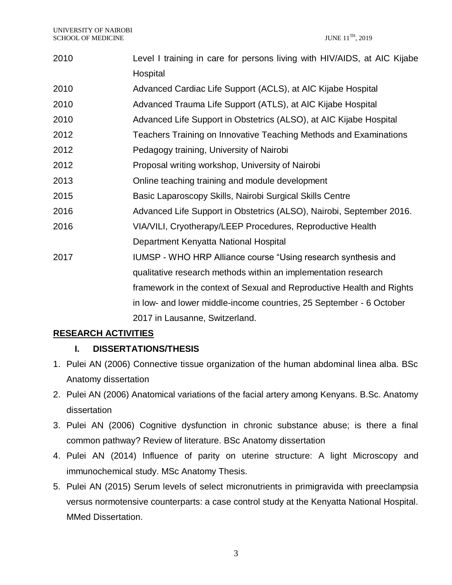| 2010 | Level I training in care for persons living with HIV/AIDS, at AIC Kijabe |
|------|--------------------------------------------------------------------------|
|      | Hospital                                                                 |
| 2010 | Advanced Cardiac Life Support (ACLS), at AIC Kijabe Hospital             |
| 2010 | Advanced Trauma Life Support (ATLS), at AIC Kijabe Hospital              |
| 2010 | Advanced Life Support in Obstetrics (ALSO), at AIC Kijabe Hospital       |
| 2012 | Teachers Training on Innovative Teaching Methods and Examinations        |
| 2012 | Pedagogy training, University of Nairobi                                 |
| 2012 | Proposal writing workshop, University of Nairobi                         |
| 2013 | Online teaching training and module development                          |
| 2015 | Basic Laparoscopy Skills, Nairobi Surgical Skills Centre                 |
| 2016 | Advanced Life Support in Obstetrics (ALSO), Nairobi, September 2016.     |
| 2016 | VIA/VILI, Cryotherapy/LEEP Procedures, Reproductive Health               |
|      | Department Kenyatta National Hospital                                    |
| 2017 | IUMSP - WHO HRP Alliance course "Using research synthesis and            |
|      | qualitative research methods within an implementation research           |
|      | framework in the context of Sexual and Reproductive Health and Rights    |
|      | in low- and lower middle-income countries, 25 September - 6 October      |
|      | 2017 in Lausanne, Switzerland.                                           |

## **RESEARCH ACTIVITIES**

## **I. DISSERTATIONS/THESIS**

- 1. Pulei AN (2006) Connective tissue organization of the human abdominal linea alba. BSc Anatomy dissertation
- 2. Pulei AN (2006) Anatomical variations of the facial artery among Kenyans. B.Sc. Anatomy dissertation
- 3. Pulei AN (2006) Cognitive dysfunction in chronic substance abuse; is there a final common pathway? Review of literature. BSc Anatomy dissertation
- 4. Pulei AN (2014) Influence of parity on uterine structure: A light Microscopy and immunochemical study. MSc Anatomy Thesis.
- 5. Pulei AN (2015) Serum levels of select micronutrients in primigravida with preeclampsia versus normotensive counterparts: a case control study at the Kenyatta National Hospital. MMed Dissertation.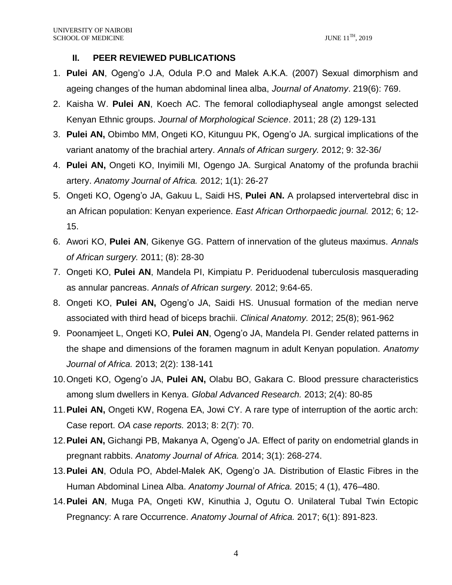### **II. PEER REVIEWED PUBLICATIONS**

- 1. **Pulei AN**, Ogeng'o J.A, Odula P.O and Malek A.K.A. (2007) Sexual dimorphism and ageing changes of the human abdominal linea alba, *Journal of Anatomy*. 219(6): 769.
- 2. Kaisha W. **Pulei AN**, Koech AC. The femoral collodiaphyseal angle amongst selected Kenyan Ethnic groups. *Journal of Morphological Science*. 2011; 28 (2) 129-131
- 3. **Pulei AN,** Obimbo MM, Ongeti KO, Kitunguu PK, Ogeng'o JA. surgical implications of the variant anatomy of the brachial artery. *Annals of African surgery.* 2012; 9: 32-36/
- 4. **Pulei AN,** Ongeti KO, Inyimili MI, Ogengo JA. Surgical Anatomy of the profunda brachii artery. *Anatomy Journal of Africa.* 2012; 1(1): 26-27
- 5. Ongeti KO, Ogeng'o JA, Gakuu L, Saidi HS, **Pulei AN.** A prolapsed intervertebral disc in an African population: Kenyan experience. *East African Orthorpaedic journal.* 2012; 6; 12- 15.
- 6. Awori KO, **Pulei AN**, Gikenye GG. Pattern of innervation of the gluteus maximus. *Annals of African surgery.* 2011; (8): 28-30
- 7. Ongeti KO, **Pulei AN**, Mandela PI, Kimpiatu P. Periduodenal tuberculosis masquerading as annular pancreas. *Annals of African surgery.* 2012; 9:64-65.
- 8. Ongeti KO, **Pulei AN,** Ogeng'o JA, Saidi HS. Unusual formation of the median nerve associated with third head of biceps brachii. *Clinical Anatomy.* 2012; 25(8); 961-962
- 9. Poonamjeet L, Ongeti KO, **Pulei AN**, Ogeng'o JA, Mandela PI. Gender related patterns in the shape and dimensions of the foramen magnum in adult Kenyan population. *Anatomy Journal of Africa.* 2013; 2(2): 138-141
- 10.Ongeti KO, Ogeng'o JA, **Pulei AN,** Olabu BO, Gakara C. Blood pressure characteristics among slum dwellers in Kenya. *Global Advanced Research.* 2013; 2(4): 80-85
- 11.**Pulei AN,** Ongeti KW, Rogena EA, Jowi CY. A rare type of interruption of the aortic arch: Case report. *OA case reports.* 2013; 8: 2(7): 70.
- 12.**Pulei AN,** Gichangi PB, Makanya A, Ogeng'o JA. Effect of parity on endometrial glands in pregnant rabbits. *Anatomy Journal of Africa.* 2014; 3(1): 268-274.
- 13.**Pulei AN**, Odula PO, Abdel-Malek AK, Ogeng'o JA. Distribution of Elastic Fibres in the Human Abdominal Linea Alba. *Anatomy Journal of Africa.* 2015; 4 (1), 476–480.
- 14.**Pulei AN**, Muga PA, Ongeti KW, Kinuthia J, Ogutu O. Unilateral Tubal Twin Ectopic Pregnancy: A rare Occurrence. *Anatomy Journal of Africa.* 2017; 6(1): 891-823.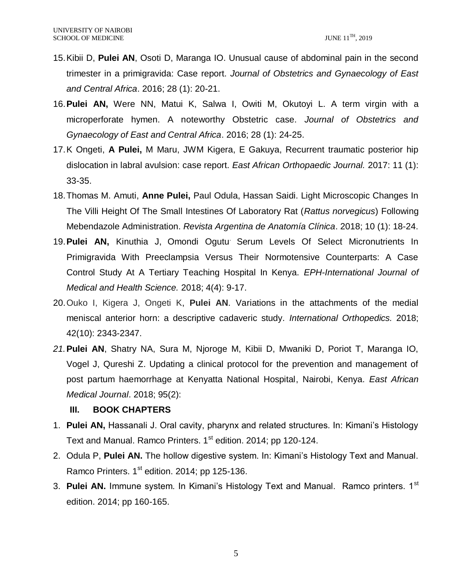- 15.Kibii D, **Pulei AN**, Osoti D, Maranga IO. Unusual cause of abdominal pain in the second trimester in a primigravida: Case report. *Journal of Obstetrics and Gynaecology of East and Central Africa*. 2016; 28 (1): 20-21.
- 16.**Pulei AN,** Were NN, Matui K, Salwa I, Owiti M, Okutoyi L. A term virgin with a microperforate hymen. A noteworthy Obstetric case. *Journal of Obstetrics and Gynaecology of East and Central Africa*. 2016; 28 (1): 24-25.
- 17.K Ongeti, **A Pulei,** M Maru, JWM Kigera, E Gakuya, Recurrent traumatic posterior hip dislocation in labral avulsion: case report. *East African Orthopaedic Journal.* 2017: 11 (1): 33-35.
- 18.Thomas M. Amuti, **Anne Pulei,** Paul Odula, Hassan Saidi. Light Microscopic Changes In The Villi Height Of The Small Intestines Of Laboratory Rat (*Rattus norvegicus*) Following Mebendazole Administration. *Revista Argentina de Anatomía Clínica*. 2018; 10 (1): 18-24.
- 19.**Pulei AN,** Kinuthia J, Omondi Ogutu. Serum Levels Of Select Micronutrients In Primigravida With Preeclampsia Versus Their Normotensive Counterparts: A Case Control Study At A Tertiary Teaching Hospital In Kenya. *EPH-International Journal of Medical and Health Science.* 2018; 4(4): 9-17.
- 20.Ouko I, Kigera J, Ongeti K, **Pulei AN**. Variations in the attachments of the medial meniscal anterior horn: a descriptive cadaveric study. *International Orthopedics.* 2018; 42(10): 2343-2347.
- *21.***Pulei AN**, Shatry NA, Sura M, Njoroge M, Kibii D, Mwaniki D, Poriot T, Maranga IO, Vogel J, Qureshi Z. Updating a clinical protocol for the prevention and management of post partum haemorrhage at Kenyatta National Hospital, Nairobi, Kenya. *East African Medical Journal*. 2018; 95(2):

#### **III. BOOK CHAPTERS**

- 1. **Pulei AN,** Hassanali J. Oral cavity, pharynx and related structures. In: Kimani's Histology Text and Manual. Ramco Printers. 1<sup>st</sup> edition. 2014; pp 120-124.
- 2. Odula P, **Pulei AN.** The hollow digestive system. In: Kimani's Histology Text and Manual. Ramco Printers.  $1<sup>st</sup>$  edition. 2014; pp 125-136.
- 3. **Pulei AN.** Immune system. In Kimani's Histology Text and Manual. Ramco printers. 1<sup>st</sup> edition. 2014; pp 160-165.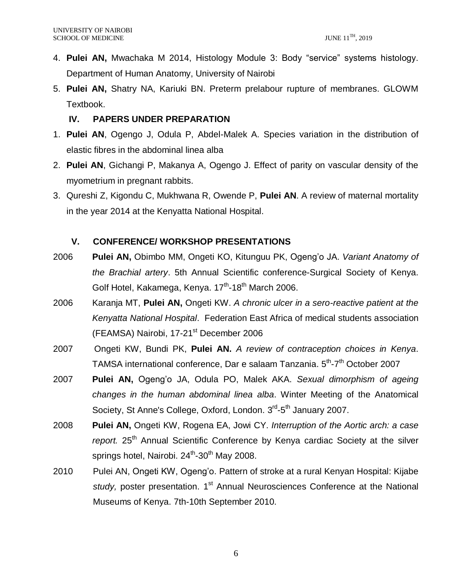- 4. **Pulei AN,** Mwachaka M 2014, Histology Module 3: Body "service" systems histology. Department of Human Anatomy, University of Nairobi
- 5. **Pulei AN,** Shatry NA, Kariuki BN. Preterm prelabour rupture of membranes. GLOWM Textbook.

### **IV. PAPERS UNDER PREPARATION**

- 1. **Pulei AN**, Ogengo J, Odula P, Abdel-Malek A. Species variation in the distribution of elastic fibres in the abdominal linea alba
- 2. **Pulei AN**, Gichangi P, Makanya A, Ogengo J. Effect of parity on vascular density of the myometrium in pregnant rabbits.
- 3. Qureshi Z, Kigondu C, Mukhwana R, Owende P, **Pulei AN**. A review of maternal mortality in the year 2014 at the Kenyatta National Hospital.

## **V. CONFERENCE/ WORKSHOP PRESENTATIONS**

- 2006 **Pulei AN,** Obimbo MM, Ongeti KO, Kitunguu PK, Ogeng'o JA. *Variant Anatomy of the Brachial artery*. 5th Annual Scientific conference-Surgical Society of Kenya. Golf Hotel, Kakamega, Kenya. 17<sup>th</sup>-18<sup>th</sup> March 2006.
- 2006 Karanja MT, **Pulei AN,** Ongeti KW. *A chronic ulcer in a sero-reactive patient at the Kenyatta National Hospital*. Federation East Africa of medical students association (FEAMSA) Nairobi, 17-21<sup>st</sup> December 2006
- 2007 Ongeti KW, Bundi PK, **Pulei AN.** *A review of contraception choices in Kenya*. TAMSA international conference, Dar e salaam Tanzania. 5<sup>th</sup>-7<sup>th</sup> October 2007
- 2007 **Pulei AN,** Ogeng'o JA, Odula PO, Malek AKA. *Sexual dimorphism of ageing changes in the human abdominal linea alba*. Winter Meeting of the Anatomical Society, St Anne's College, Oxford, London. 3<sup>rd</sup>-5<sup>th</sup> January 2007.
- 2008 **Pulei AN,** Ongeti KW, Rogena EA, Jowi CY. *Interruption of the Aortic arch: a case*  report. 25<sup>th</sup> Annual Scientific Conference by Kenya cardiac Society at the silver springs hotel, Nairobi. 24<sup>th</sup>-30<sup>th</sup> May 2008.
- 2010 Pulei AN, Ongeti KW, Ogeng'o. Pattern of stroke at a rural Kenyan Hospital: Kijabe study, poster presentation. 1<sup>st</sup> Annual Neurosciences Conference at the National Museums of Kenya. 7th-10th September 2010.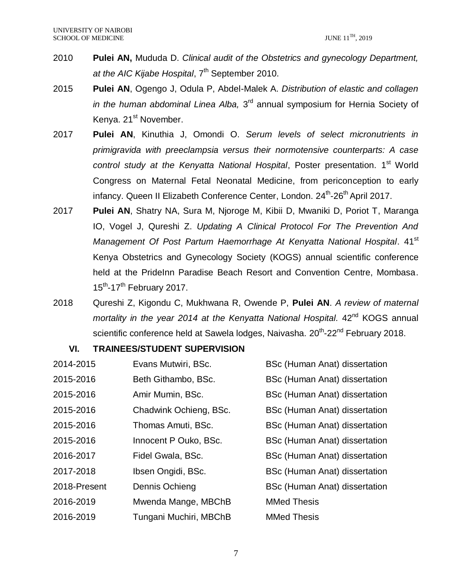- 2010 **Pulei AN,** Mududa D. *Clinical audit of the Obstetrics and gynecology Department,*  at the AIC Kijabe Hospital, 7<sup>th</sup> September 2010.
- 2015 **Pulei AN**, Ogengo J, Odula P, Abdel-Malek A. *Distribution of elastic and collagen*  in the human abdominal Linea Alba, 3<sup>rd</sup> annual symposium for Hernia Society of Kenya. 21<sup>st</sup> November.
- 2017 **Pulei AN**, Kinuthia J, Omondi O. *Serum levels of select micronutrients in primigravida with preeclampsia versus their normotensive counterparts: A case*  control study at the Kenyatta National Hospital, Poster presentation. 1<sup>st</sup> World Congress on Maternal Fetal Neonatal Medicine, from periconception to early infancy. Queen II Elizabeth Conference Center, London. 24<sup>th</sup>-26<sup>th</sup> April 2017.
- 2017 **Pulei AN**, Shatry NA, Sura M, Njoroge M, Kibii D, Mwaniki D, Poriot T, Maranga IO, Vogel J, Qureshi Z. *Updating A Clinical Protocol For The Prevention And*  Management Of Post Partum Haemorrhage At Kenyatta National Hospital. 41<sup>st</sup> Kenya Obstetrics and Gynecology Society (KOGS) annual scientific conference held at the Pridelnn Paradise Beach Resort and Convention Centre, Mombasa.  $15^{th}$ -17<sup>th</sup> February 2017.
- 2018 Qureshi Z, Kigondu C, Mukhwana R, Owende P, **Pulei AN**. *A review of maternal mortality in the year 2014 at the Kenyatta National Hospital.* 42<sup>nd</sup> KOGS annual scientific conference held at Sawela lodges, Naivasha. 20<sup>th</sup>-22<sup>nd</sup> February 2018.

#### **VI. TRAINEES/STUDENT SUPERVISION**

| 2014-2015    | Evans Mutwiri, BSc.    | <b>BSc (Human Anat) dissertation</b> |
|--------------|------------------------|--------------------------------------|
| 2015-2016    | Beth Githambo, BSc.    | BSc (Human Anat) dissertation        |
| 2015-2016    | Amir Mumin, BSc.       | BSc (Human Anat) dissertation        |
| 2015-2016    | Chadwink Ochieng, BSc. | <b>BSc (Human Anat) dissertation</b> |
| 2015-2016    | Thomas Amuti, BSc.     | <b>BSc (Human Anat) dissertation</b> |
| 2015-2016    | Innocent P Ouko, BSc.  | <b>BSc (Human Anat) dissertation</b> |
| 2016-2017    | Fidel Gwala, BSc.      | <b>BSc (Human Anat) dissertation</b> |
| 2017-2018    | Ibsen Ongidi, BSc.     | <b>BSc (Human Anat) dissertation</b> |
| 2018-Present | Dennis Ochieng         | <b>BSc (Human Anat) dissertation</b> |
| 2016-2019    | Mwenda Mange, MBChB    | <b>MMed Thesis</b>                   |
| 2016-2019    | Tungani Muchiri, MBChB | <b>MMed Thesis</b>                   |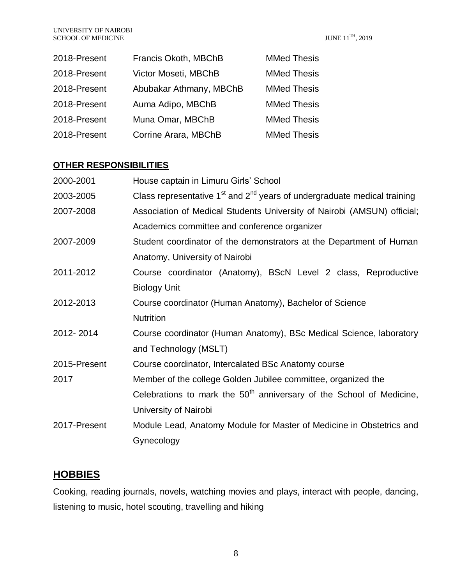| 2018-Present | Francis Okoth, MBChB    | <b>MMed Thesis</b> |
|--------------|-------------------------|--------------------|
| 2018-Present | Victor Moseti, MBChB    | <b>MMed Thesis</b> |
| 2018-Present | Abubakar Athmany, MBChB | <b>MMed Thesis</b> |
| 2018-Present | Auma Adipo, MBChB       | <b>MMed Thesis</b> |
| 2018-Present | Muna Omar, MBChB        | <b>MMed Thesis</b> |
| 2018-Present | Corrine Arara, MBChB    | <b>MMed Thesis</b> |

## **OTHER RESPONSIBILITIES**

| House captain in Limuru Girls' School                                        |
|------------------------------------------------------------------------------|
| Class representative $1st$ and $2nd$ years of undergraduate medical training |
| Association of Medical Students University of Nairobi (AMSUN) official;      |
| Academics committee and conference organizer                                 |
| Student coordinator of the demonstrators at the Department of Human          |
| Anatomy, University of Nairobi                                               |
| Course coordinator (Anatomy), BScN Level 2 class, Reproductive               |
| <b>Biology Unit</b>                                                          |
| Course coordinator (Human Anatomy), Bachelor of Science                      |
| <b>Nutrition</b>                                                             |
| Course coordinator (Human Anatomy), BSc Medical Science, laboratory          |
| and Technology (MSLT)                                                        |
| Course coordinator, Intercalated BSc Anatomy course                          |
| Member of the college Golden Jubilee committee, organized the                |
| Celebrations to mark the $50th$ anniversary of the School of Medicine,       |
| University of Nairobi                                                        |
| Module Lead, Anatomy Module for Master of Medicine in Obstetrics and         |
| Gynecology                                                                   |
|                                                                              |

## **HOBBIES**

Cooking, reading journals, novels, watching movies and plays, interact with people, dancing, listening to music, hotel scouting, travelling and hiking